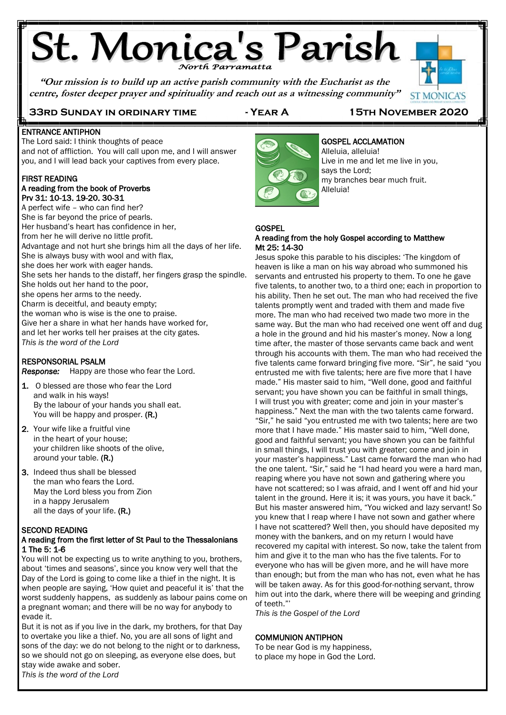# **St. Monica's Parish**

**"Our mission is to build up an active parish community with the Eucharist as the centre, foster deeper prayer and spirituality and reach out as a witnessing community"**



**ST MONICA'S** 

#### E ENTRANCE ANTIPHON

The Lord said: I think thoughts of peace and not of affliction. You will call upon me, and I will answer you, and I will lead back your captives from every place. Í

### FIRST READING

### A reading from the book of Proverbs Prv 31: 10-13. 19-20. 30-31

A perfect wife – who can find her? She is far beyond the price of pearls. Her husband's heart has confidence in her, from her he will derive no little profit. Advantage and not hurt she brings him all the days of her life. She is always busy with wool and with flax, she does her work with eager hands. She sets her hands to the distaff, her fingers grasp the spindle. She holds out her hand to the poor, she opens her arms to the needy. Charm is deceitful, and beauty empty; the woman who is wise is the one to praise. Give her a share in what her hands have worked for, and let her works tell her praises at the city gates. *This is the word of the Lord*

### RESPONSORIAL PSALM

*Response:* Happy are those who fear the Lord.

- 1. O blessed are those who fear the Lord and walk in his ways! By the labour of your hands you shall eat. You will be happy and prosper. (R.)
- 2. Your wife like a fruitful vine in the heart of your house; your children like shoots of the olive, around your table. (R.)
- 3. Indeed thus shall be blessed the man who fears the Lord. May the Lord bless you from Zion in a happy Jerusalem all the days of your life. (R.)

### SECOND READING

### A reading from the first letter of St Paul to the Thessalonians 1 The 5: 1-6

You will not be expecting us to write anything to you, brothers, about 'times and seasons', since you know very well that the Day of the Lord is going to come like a thief in the night. It is when people are saying, 'How quiet and peaceful it is' that the worst suddenly happens, as suddenly as labour pains come on a pregnant woman; and there will be no way for anybody to evade it.

But it is not as if you live in the dark, my brothers, for that Day to overtake you like a thief. No, you are all sons of light and sons of the day: we do not belong to the night or to darkness, so we should not go on sleeping, as everyone else does, but stay wide awake and sober.

*This is the word of the Lord*



### GOSPEL ACCLAMATION Alleluia, alleluia! Live in me and let me live in you,

says the Lord; my branches bear much fruit. Alleluia!

#### **GOSPEL** A reading from the holy Gospel according to Matthew Mt 25: 14-30

Jesus spoke this parable to his disciples: 'The kingdom of heaven is like a man on his way abroad who summoned his servants and entrusted his property to them. To one he gave five talents, to another two, to a third one; each in proportion to his ability. Then he set out. The man who had received the five talents promptly went and traded with them and made five more. The man who had received two made two more in the same way. But the man who had received one went off and dug a hole in the ground and hid his master's money. Now a long time after, the master of those servants came back and went through his accounts with them. The man who had received the five talents came forward bringing five more. "Sir", he said "you entrusted me with five talents; here are five more that I have made." His master said to him, "Well done, good and faithful servant; you have shown you can be faithful in small things, I will trust you with greater; come and join in your master's happiness." Next the man with the two talents came forward. "Sir," he said "you entrusted me with two talents; here are two more that I have made." His master said to him, "Well done, good and faithful servant; you have shown you can be faithful in small things, I will trust you with greater; come and join in your master's happiness." Last came forward the man who had the one talent. "Sir," said he "I had heard you were a hard man, reaping where you have not sown and gathering where you have not scattered; so I was afraid, and I went off and hid your talent in the ground. Here it is; it was yours, you have it back." But his master answered him, "You wicked and lazy servant! So you knew that I reap where I have not sown and gather where I have not scattered? Well then, you should have deposited my money with the bankers, and on my return I would have recovered my capital with interest. So now, take the talent from him and give it to the man who has the five talents. For to everyone who has will be given more, and he will have more than enough; but from the man who has not, even what he has will be taken away. As for this good-for-nothing servant, throw him out into the dark, where there will be weeping and grinding of teeth."'

*This is the Gospel of the Lord*

### COMMUNION ANTIPHON

To be near God is my happiness, to place my hope in God the Lord.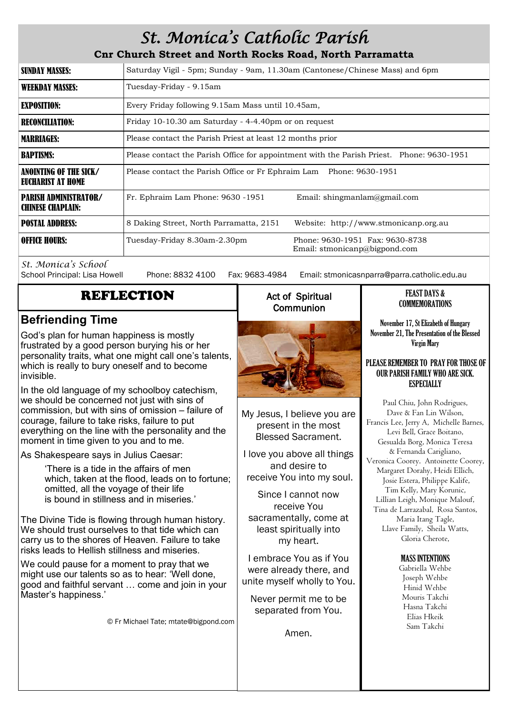## *St. Monica's Catholic Parish*

**Cnr Church Street and North Rocks Road, North Parramatta**

| SUNDAY MASSES:                                           | Saturday Vigil - 5pm; Sunday - 9am, 11.30am (Cantonese/Chinese Mass) and 6pm              |                                                                  |  |
|----------------------------------------------------------|-------------------------------------------------------------------------------------------|------------------------------------------------------------------|--|
| <b>WEEKDAY MASSES:</b>                                   | Tuesday-Friday - 9.15am                                                                   |                                                                  |  |
| <b>EXPOSITION:</b>                                       | Every Friday following 9.15am Mass until 10.45am,                                         |                                                                  |  |
| <b>RECONCILIATION:</b>                                   | Friday 10-10.30 am Saturday - 4-4.40pm or on request                                      |                                                                  |  |
| <b>MARRIAGES:</b>                                        | Please contact the Parish Priest at least 12 months prior                                 |                                                                  |  |
| <b>BAPTISMS:</b>                                         | Please contact the Parish Office for appointment with the Parish Priest. Phone: 9630-1951 |                                                                  |  |
| <b>ANOINTING OF THE SICK/</b><br>EUCHARIST AT HOME       | Please contact the Parish Office or Fr Ephraim Lam Phone: 9630-1951                       |                                                                  |  |
| <b>PARISH ADMINISTRATOR/</b><br><b>CHINESE CHAPLAIN:</b> | Fr. Ephraim Lam Phone: 9630 -1951                                                         | Email: shingmanlam@gmail.com                                     |  |
| <b>POSTAL ADDRESS:</b>                                   | 8 Daking Street, North Parramatta, 2151                                                   | Website: http://www.stmonicanp.org.au                            |  |
| <b>OFFICE HOURS:</b>                                     | Tuesday-Friday 8.30am-2.30pm                                                              | Phone: 9630-1951 Fax: 9630-8738<br>Email: stmonicanp@bigpond.com |  |

*St. Monica's School*

Phone: 8832 4100 Fax: 9683-4984 Email: stmonicasnparra@parra.catholic.edu.au

### REFLECTION

### **Befriending Time**

God's plan for human happiness is mostly frustrated by a good person burying his or her personality traits, what one might call one's talents, which is really to bury oneself and to become invisible.

In the old language of my schoolboy catechism, we should be concerned not just with sins of commission, but with sins of omission – failure of courage, failure to take risks, failure to put everything on the line with the personality and the moment in time given to you and to me.

As Shakespeare says in Julius Caesar:

'There is a tide in the affairs of men which, taken at the flood, leads on to fortune; omitted, all the voyage of their life is bound in stillness and in miseries.'

The Divine Tide is flowing through human history. We should trust ourselves to that tide which can carry us to the shores of Heaven. Failure to take risks leads to Hellish stillness and miseries.

We could pause for a moment to pray that we might use our talents so as to hear: 'Well done, good and faithful servant … come and join in your Master's happiness.'

© Fr Michael Tate; mtate@bigpond.com

### Act of Spiritual **Communion**



My Jesus, I believe you are present in the most Blessed Sacrament.

I love you above all things and desire to receive You into my soul.

Since I cannot now receive You sacramentally, come at least spiritually into my heart.

I embrace You as if You were already there, and unite myself wholly to You.

Never permit me to be separated from You.

Amen.

### FEAST DAYS & **COMMEMORATIONS**

November 17, St Elizabeth of Hungary November 21, The Presentation of the Blessed Virgin Mary

### PLEASE REMEMBER TO PRAY FOR THOSE OF OUR PARISH FAMILY WHO ARE SICK. ESPECIALLY

Paul Chiu, John Rodrigues, Dave & Fan Lin Wilson, Francis Lee, Jerry A, Michelle Barnes, Levi Bell, Grace Boitano, Gesualda Borg, Monica Teresa & Fernanda Carigliano, Veronica Coorey. Antoinette Coorey, Margaret Dorahy, Heidi Ellich, Josie Estera, Philippe Kalife, Tim Kelly, Mary Korunic, Lillian Leigh, Monique Malouf, Tina de Larrazabal, Rosa Santos, Maria Itang Tagle, Llave Family, Sheila Watts, Gloria Cherote,

### MASS INTENTIONS

Gabriella Wehbe Joseph Wehbe Hinid Wehbe Mouris Takchi Hasna Takchi Elias Hkeik Sam Takchi